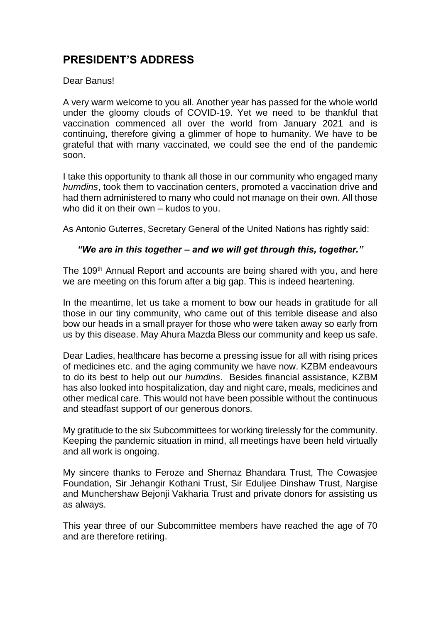## **PRESIDENT'S ADDRESS**

## Dear Banus!

A very warm welcome to you all. Another year has passed for the whole world under the gloomy clouds of COVID-19. Yet we need to be thankful that vaccination commenced all over the world from January 2021 and is continuing, therefore giving a glimmer of hope to humanity. We have to be grateful that with many vaccinated, we could see the end of the pandemic soon.

I take this opportunity to thank all those in our community who engaged many *humdins*, took them to vaccination centers, promoted a vaccination drive and had them administered to many who could not manage on their own. All those who did it on their own – kudos to you.

As Antonio Guterres, Secretary General of the United Nations has rightly said:

## *"We are in this together – and we will get through this, together."*

The 109<sup>th</sup> Annual Report and accounts are being shared with you, and here we are meeting on this forum after a big gap. This is indeed heartening.

In the meantime, let us take a moment to bow our heads in gratitude for all those in our tiny community, who came out of this terrible disease and also bow our heads in a small prayer for those who were taken away so early from us by this disease. May Ahura Mazda Bless our community and keep us safe.

Dear Ladies, healthcare has become a pressing issue for all with rising prices of medicines etc. and the aging community we have now. KZBM endeavours to do its best to help out our *humdins*. Besides financial assistance, KZBM has also looked into hospitalization, day and night care, meals, medicines and other medical care. This would not have been possible without the continuous and steadfast support of our generous donors.

My gratitude to the six Subcommittees for working tirelessly for the community. Keeping the pandemic situation in mind, all meetings have been held virtually and all work is ongoing.

My sincere thanks to Feroze and Shernaz Bhandara Trust, The Cowasjee Foundation, Sir Jehangir Kothani Trust, Sir Eduljee Dinshaw Trust, Nargise and Munchershaw Bejonji Vakharia Trust and private donors for assisting us as always.

This year three of our Subcommittee members have reached the age of 70 and are therefore retiring.